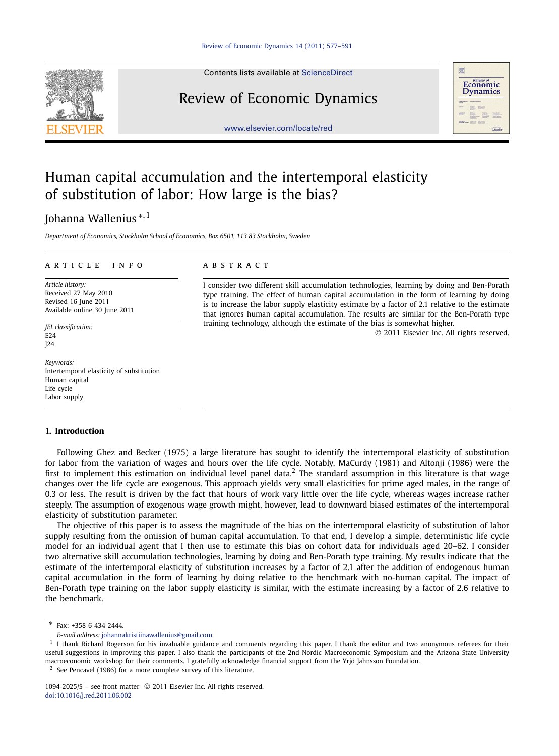Contents lists available at [ScienceDirect](http://www.ScienceDirect.com/)

# Review of Economic Dynamics

[www.elsevier.com/locate/red](http://www.elsevier.com/locate/red)



# Human capital accumulation and the intertemporal elasticity of substitution of labor: How large is the bias?

## Johanna Wallenius <sup>∗</sup>*,*<sup>1</sup>

*Department of Economics, Stockholm School of Economics, Box 6501, 113 83 Stockholm, Sweden*

### article info abstract

*Article history:* Received 27 May 2010 Revised 16 June 2011 Available online 30 June 2011

*JEL classification:* E24 J24

*Keywords:* Intertemporal elasticity of substitution Human capital Life cycle Labor supply

#### **1. Introduction**

I consider two different skill accumulation technologies, learning by doing and Ben-Porath type training. The effect of human capital accumulation in the form of learning by doing is to increase the labor supply elasticity estimate by a factor of 2.1 relative to the estimate that ignores human capital accumulation. The results are similar for the Ben-Porath type training technology, although the estimate of the bias is somewhat higher.

© 2011 Elsevier Inc. All rights reserved.

Following Ghez and Becker (1975) a large literature has sought to identify the intertemporal elasticity of substitution for labor from the variation of wages and hours over the life cycle. Notably, MaCurdy (1981) and Altonji (1986) were the first to implement this estimation on individual level panel data.<sup>2</sup> The standard assumption in this literature is that wage changes over the life cycle are exogenous. This approach yields very small elasticities for prime aged males, in the range of 0.3 or less. The result is driven by the fact that hours of work vary little over the life cycle, whereas wages increase rather steeply. The assumption of exogenous wage growth might, however, lead to downward biased estimates of the intertemporal elasticity of substitution parameter.

The objective of this paper is to assess the magnitude of the bias on the intertemporal elasticity of substitution of labor supply resulting from the omission of human capital accumulation. To that end, I develop a simple, deterministic life cycle model for an individual agent that I then use to estimate this bias on cohort data for individuals aged 20–62. I consider two alternative skill accumulation technologies, learning by doing and Ben-Porath type training. My results indicate that the estimate of the intertemporal elasticity of substitution increases by a factor of 2.1 after the addition of endogenous human capital accumulation in the form of learning by doing relative to the benchmark with no-human capital. The impact of Ben-Porath type training on the labor supply elasticity is similar, with the estimate increasing by a factor of 2.6 relative to the benchmark.

\* Fax: +358 6 434 2444.

*E-mail address:* [johannakristiinawallenius@gmail.com.](mailto:johannakristiinawallenius@gmail.com)

<sup>&</sup>lt;sup>1</sup> I thank Richard Rogerson for his invaluable guidance and comments regarding this paper. I thank the editor and two anonymous referees for their useful suggestions in improving this paper. I also thank the participants of the 2nd Nordic Macroeconomic Symposium and the Arizona State University macroeconomic workshop for their comments. I gratefully acknowledge financial support from the Yrjö Jahnsson Foundation.

<sup>2</sup> See Pencavel (1986) for a more complete survey of this literature.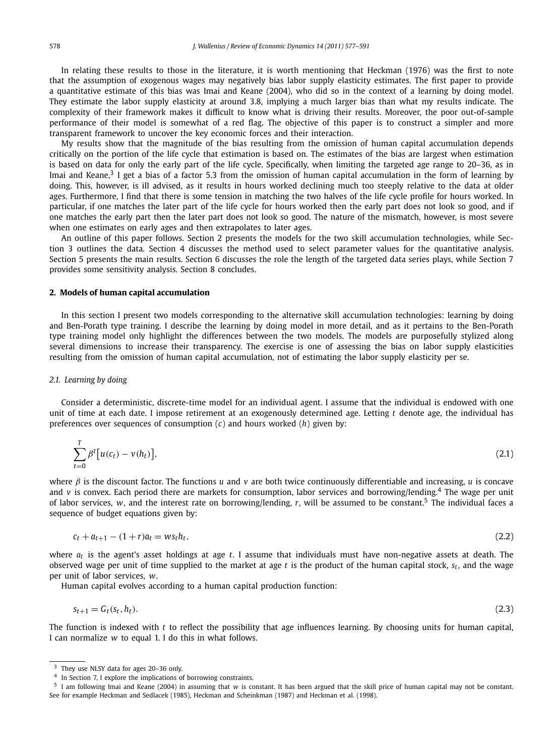In relating these results to those in the literature, it is worth mentioning that Heckman (1976) was the first to note that the assumption of exogenous wages may negatively bias labor supply elasticity estimates. The first paper to provide a quantitative estimate of this bias was Imai and Keane (2004), who did so in the context of a learning by doing model. They estimate the labor supply elasticity at around 3.8, implying a much larger bias than what my results indicate. The complexity of their framework makes it difficult to know what is driving their results. Moreover, the poor out-of-sample performance of their model is somewhat of a red flag. The objective of this paper is to construct a simpler and more transparent framework to uncover the key economic forces and their interaction.

My results show that the magnitude of the bias resulting from the omission of human capital accumulation depends critically on the portion of the life cycle that estimation is based on. The estimates of the bias are largest when estimation is based on data for only the early part of the life cycle. Specifically, when limiting the targeted age range to 20–36, as in Imai and Keane,<sup>3</sup> I get a bias of a factor 5.3 from the omission of human capital accumulation in the form of learning by doing. This, however, is ill advised, as it results in hours worked declining much too steeply relative to the data at older ages. Furthermore, I find that there is some tension in matching the two halves of the life cycle profile for hours worked. In particular, if one matches the later part of the life cycle for hours worked then the early part does not look so good, and if one matches the early part then the later part does not look so good. The nature of the mismatch, however, is most severe when one estimates on early ages and then extrapolates to later ages.

An outline of this paper follows. Section 2 presents the models for the two skill accumulation technologies, while Section 3 outlines the data. Section 4 discusses the method used to select parameter values for the quantitative analysis. Section 5 presents the main results. Section 6 discusses the role the length of the targeted data series plays, while Section 7 provides some sensitivity analysis. Section 8 concludes.

#### **2. Models of human capital accumulation**

In this section I present two models corresponding to the alternative skill accumulation technologies: learning by doing and Ben-Porath type training. I describe the learning by doing model in more detail, and as it pertains to the Ben-Porath type training model only highlight the differences between the two models. The models are purposefully stylized along several dimensions to increase their transparency. The exercise is one of assessing the bias on labor supply elasticities resulting from the omission of human capital accumulation, not of estimating the labor supply elasticity per se.

#### *2.1. Learning by doing*

Consider a deterministic, discrete-time model for an individual agent. I assume that the individual is endowed with one unit of time at each date. I impose retirement at an exogenously determined age. Letting *t* denote age, the individual has preferences over sequences of consumption (*c*) and hours worked (*h*) given by:

$$
\sum_{t=0}^{T} \beta^t \big[ u(c_t) - v(h_t) \big],\tag{2.1}
$$

where *β* is the discount factor. The functions *u* and *v* are both twice continuously differentiable and increasing, *u* is concave and *v* is convex. Each period there are markets for consumption, labor services and borrowing/lending.<sup>4</sup> The wage per unit of labor services, *w*, and the interest rate on borrowing/lending, *r*, will be assumed to be constant.<sup>5</sup> The individual faces a sequence of budget equations given by:

$$
c_t + a_{t+1} - (1+r)a_t = ws_t h_t,
$$
\n(2.2)

where *at* is the agent's asset holdings at age *t*. I assume that individuals must have non-negative assets at death. The observed wage per unit of time supplied to the market at age *t* is the product of the human capital stock, *st*, and the wage per unit of labor services, *w*.

Human capital evolves according to a human capital production function:

$$
s_{t+1} = G_t(s_t, h_t). \tag{2.3}
$$

The function is indexed with *t* to reflect the possibility that age influences learning. By choosing units for human capital, I can normalize *w* to equal 1. I do this in what follows.

<sup>3</sup> They use NLSY data for ages 20–36 only.

<sup>4</sup> In Section 7, I explore the implications of borrowing constraints.

<sup>5</sup> I am following Imai and Keane (2004) in assuming that *w* is constant. It has been argued that the skill price of human capital may not be constant. See for example Heckman and Sedlacek (1985), Heckman and Scheinkman (1987) and Heckman et al. (1998).